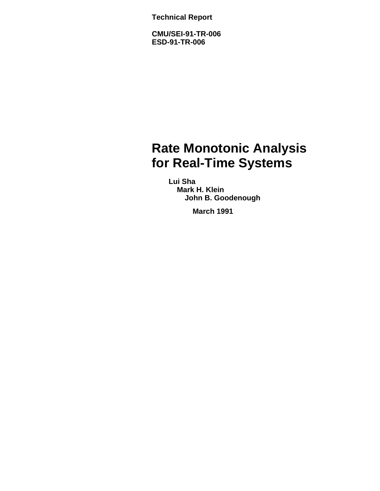**Technical Report**

**CMU/SEI-91-TR-006 ESD-91-TR-006**

# **Rate Monotonic Analysis for Real-Time Systems**

**Lui Sha Mark H. Klein John B. Goodenough**

**March 1991**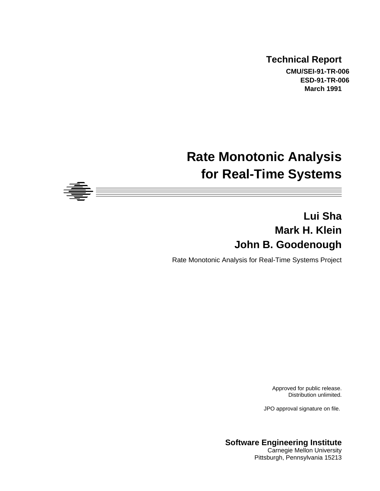**Technical Report CMU/SEI-91-TR-006 ESD-91-TR-006 March 1991**

# **Rate Monotonic Analysis for Real-Time Systems**



## **Lui Sha Mark H. Klein John B. Goodenough**

Rate Monotonic Analysis for Real-Time Systems Project

Approved for public release. Distribution unlimited.

JPO approval signature on file.

**Software Engineering Institute** Carnegie Mellon University Pittsburgh, Pennsylvania 15213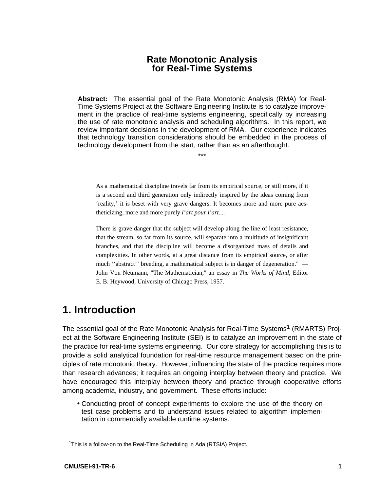#### **Rate Monotonic Analysis for Real-Time Systems**

**Abstract:** The essential goal of the Rate Monotonic Analysis (RMA) for Real-Time Systems Project at the Software Engineering Institute is to catalyze improvement in the practice of real-time systems engineering, specifically by increasing the use of rate monotonic analysis and scheduling algorithms. In this report, we review important decisions in the development of RMA. Our experience indicates that technology transition considerations should be embedded in the process of technology development from the start, rather than as an afterthought.

\*\*\*

As a mathematical discipline travels far from its empirical source, or still more, if it is a second and third generation only indirectly inspired by the ideas coming from 'reality,' it is beset with very grave dangers. It becomes more and more pure aestheticizing, more and more purely *l'art pour l'art*....

There is grave danger that the subject will develop along the line of least resistance, that the stream, so far from its source, will separate into a multitude of insignificant branches, and that the discipline will become a disorganized mass of details and complexities. In other words, at a great distance from its empirical source, or after much ''abstract'' breeding, a mathematical subject is in danger of degeneration." — John Von Neumann, "The Mathematician," an essay in *The Works of Mind*, Editor E. B. Heywood, University of Chicago Press, 1957.

### **1. Introduction**

The essential goal of the Rate Monotonic Analysis for Real-Time Systems<sup>1</sup> (RMARTS) Proiect at the Software Engineering Institute (SEI) is to catalyze an improvement in the state of the practice for real-time systems engineering. Our core strategy for accomplishing this is to provide a solid analytical foundation for real-time resource management based on the principles of rate monotonic theory. However, influencing the state of the practice requires more than research advances; it requires an ongoing interplay between theory and practice. We have encouraged this interplay between theory and practice through cooperative efforts among academia, industry, and government. These efforts include:

• Conducting proof of concept experiments to explore the use of the theory on test case problems and to understand issues related to algorithm implementation in commercially available runtime systems.

<sup>&</sup>lt;sup>1</sup>This is a follow-on to the Real-Time Scheduling in Ada (RTSIA) Project.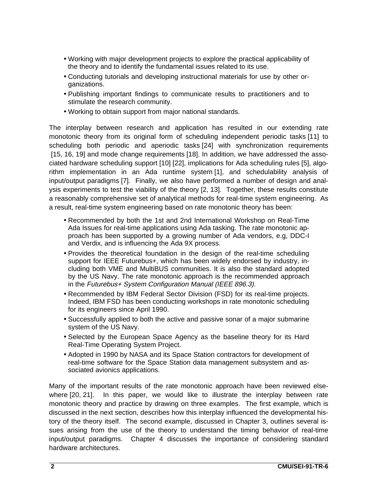- Working with major development projects to explore the practical applicability of the theory and to identify the fundamental issues related to its use.
- Conducting tutorials and developing instructional materials for use by other organizations.
- Publishing important findings to communicate results to practitioners and to stimulate the research community.
- Working to obtain support from major national standards.

The interplay between research and application has resulted in our extending rate monotonic theory from its original form of scheduling independent periodic tasks [11] to scheduling both periodic and aperiodic tasks [24] with synchronization requirements [15, 16, 19] and mode change requirements [18]. In addition, we have addressed the associated hardware scheduling support [10] [22], implications for Ada scheduling rules [5], algorithm implementation in an Ada runtime system [1], and schedulability analysis of input/output paradigms [7]. Finally, we also have performed a number of design and analysis experiments to test the viability of the theory [2, 13]. Together, these results constitute a reasonably comprehensive set of analytical methods for real-time system engineering. As a result, real-time system engineering based on rate monotonic theory has been:

- Recommended by both the 1st and 2nd International Workshop on Real-Time Ada Issues for real-time applications using Ada tasking. The rate monotonic approach has been supported by a growing number of Ada vendors, e.g, DDC-I and Verdix, and is influencing the Ada 9X process.
- Provides the theoretical foundation in the design of the real-time scheduling support for IEEE Futurebus+, which has been widely endorsed by industry, including both VME and MultiBUS communities. It is also the standard adopted by the US Navy. The rate monotonic approach is the recommended approach in the Futurebus+ System Configuration Manual (IEEE 896.3).
- Recommended by IBM Federal Sector Division (FSD) for its real-time projects. Indeed, IBM FSD has been conducting workshops in rate monotonic scheduling for its engineers since April 1990.
- Successfully applied to both the active and passive sonar of a major submarine system of the US Navy.
- Selected by the European Space Agency as the baseline theory for its Hard Real-Time Operating System Project.
- Adopted in 1990 by NASA and its Space Station contractors for development of real-time software for the Space Station data management subsystem and associated avionics applications.

Many of the important results of the rate monotonic approach have been reviewed elsewhere [20, 21]. In this paper, we would like to illustrate the interplay between rate monotonic theory and practice by drawing on three examples. The first example, which is discussed in the next section, describes how this interplay influenced the developmental history of the theory itself. The second example, discussed in Chapter 3, outlines several issues arising from the use of the theory to understand the timing behavior of real-time input/output paradigms. Chapter 4 discusses the importance of considering standard hardware architectures.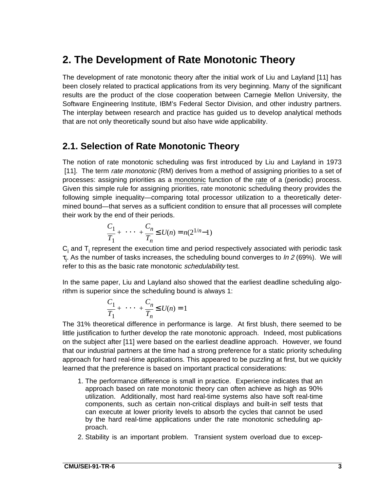### **2. The Development of Rate Monotonic Theory**

The development of rate monotonic theory after the initial work of Liu and Layland [11] has been closely related to practical applications from its very beginning. Many of the significant results are the product of the close cooperation between Carnegie Mellon University, the Software Engineering Institute, IBM's Federal Sector Division, and other industry partners. The interplay between research and practice has guided us to develop analytical methods that are not only theoretically sound but also have wide applicability.

#### **2.1. Selection of Rate Monotonic Theory**

The notion of rate monotonic scheduling was first introduced by Liu and Layland in 1973 [11]. The term rate monotonic (RM) derives from a method of assigning priorities to a set of processes: assigning priorities as a monotonic function of the rate of a (periodic) process. Given this simple rule for assigning priorities, rate monotonic scheduling theory provides the following simple inequality—comparing total processor utilization to a theoretically determined bound—that serves as a sufficient condition to ensure that all processes will complete their work by the end of their periods.

$$
\frac{C_1}{T_1} + \cdots + \frac{C_n}{T_n} \le U(n) = n(2^{1/n}-1)
$$

 $C_i$  and  $T_i$  represent the execution time and period respectively associated with periodic task  $\tau_i$ . As the number of tasks increases, the scheduling bound converges to In 2 (69%). We will refer to this as the basic rate monotonic schedulability test.

In the same paper, Liu and Layland also showed that the earliest deadline scheduling algorithm is superior since the scheduling bound is always 1:

$$
\frac{C_1}{T_1} + \cdots + \frac{C_n}{T_n} \le U(n) = 1
$$

The 31% theoretical difference in performance is large. At first blush, there seemed to be little justification to further develop the rate monotonic approach. Indeed, most publications on the subject after [11] were based on the earliest deadline approach. However, we found that our industrial partners at the time had a strong preference for a static priority scheduling approach for hard real-time applications. This appeared to be puzzling at first, but we quickly learned that the preference is based on important practical considerations:

- 1. The performance difference is small in practice. Experience indicates that an approach based on rate monotonic theory can often achieve as high as 90% utilization. Additionally, most hard real-time systems also have soft real-time components, such as certain non-critical displays and built-in self tests that can execute at lower priority levels to absorb the cycles that cannot be used by the hard real-time applications under the rate monotonic scheduling approach.
- 2. Stability is an important problem. Transient system overload due to excep-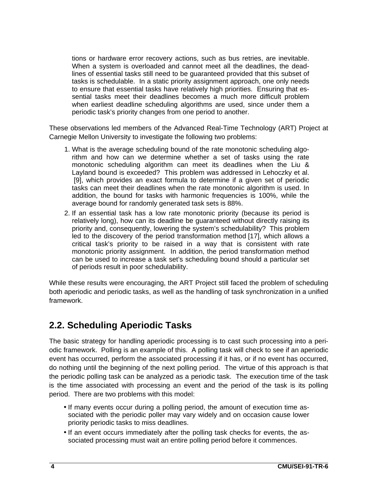tions or hardware error recovery actions, such as bus retries, are inevitable. When a system is overloaded and cannot meet all the deadlines, the deadlines of essential tasks still need to be guaranteed provided that this subset of tasks is schedulable. In a static priority assignment approach, one only needs to ensure that essential tasks have relatively high priorities. Ensuring that essential tasks meet their deadlines becomes a much more difficult problem when earliest deadline scheduling algorithms are used, since under them a periodic task's priority changes from one period to another.

These observations led members of the Advanced Real-Time Technology (ART) Project at Carnegie Mellon University to investigate the following two problems:

- 1. What is the average scheduling bound of the rate monotonic scheduling algorithm and how can we determine whether a set of tasks using the rate monotonic scheduling algorithm can meet its deadlines when the Liu & Layland bound is exceeded? This problem was addressed in Lehoczky et al. [9], which provides an exact formula to determine if a given set of periodic tasks can meet their deadlines when the rate monotonic algorithm is used. In addition, the bound for tasks with harmonic frequencies is 100%, while the average bound for randomly generated task sets is 88%.
- 2. If an essential task has a low rate monotonic priority (because its period is relatively long), how can its deadline be guaranteed without directly raising its priority and, consequently, lowering the system's schedulability? This problem led to the discovery of the period transformation method [17], which allows a critical task's priority to be raised in a way that is consistent with rate monotonic priority assignment. In addition, the period transformation method can be used to increase a task set's scheduling bound should a particular set of periods result in poor schedulability.

While these results were encouraging, the ART Project still faced the problem of scheduling both aperiodic and periodic tasks, as well as the handling of task synchronization in a unified framework.

#### **2.2. Scheduling Aperiodic Tasks**

The basic strategy for handling aperiodic processing is to cast such processing into a periodic framework. Polling is an example of this. A polling task will check to see if an aperiodic event has occurred, perform the associated processing if it has, or if no event has occurred, do nothing until the beginning of the next polling period. The virtue of this approach is that the periodic polling task can be analyzed as a periodic task. The execution time of the task is the time associated with processing an event and the period of the task is its polling period. There are two problems with this model:

- If many events occur during a polling period, the amount of execution time associated with the periodic poller may vary widely and on occasion cause lower priority periodic tasks to miss deadlines.
- If an event occurs immediately after the polling task checks for events, the associated processing must wait an entire polling period before it commences.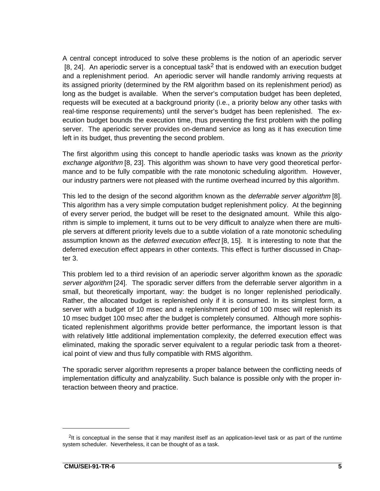A central concept introduced to solve these problems is the notion of an aperiodic server [8, 24]. An aperiodic server is a conceptual task<sup>2</sup> that is endowed with an execution budget and a replenishment period. An aperiodic server will handle randomly arriving requests at its assigned priority (determined by the RM algorithm based on its replenishment period) as long as the budget is available. When the server's computation budget has been depleted, requests will be executed at a background priority (i.e., a priority below any other tasks with real-time response requirements) until the server's budget has been replenished. The execution budget bounds the execution time, thus preventing the first problem with the polling server. The aperiodic server provides on-demand service as long as it has execution time left in its budget, thus preventing the second problem.

The first algorithm using this concept to handle aperiodic tasks was known as the *priority* exchange algorithm [8, 23]. This algorithm was shown to have very good theoretical performance and to be fully compatible with the rate monotonic scheduling algorithm. However, our industry partners were not pleased with the runtime overhead incurred by this algorithm.

This led to the design of the second algorithm known as the *deferrable server algorithm* [8]. This algorithm has a very simple computation budget replenishment policy. At the beginning of every server period, the budget will be reset to the designated amount. While this algorithm is simple to implement, it turns out to be very difficult to analyze when there are multiple servers at different priority levels due to a subtle violation of a rate monotonic scheduling assumption known as the *deferred execution effect* [8, 15]. It is interesting to note that the deferred execution effect appears in other contexts. This effect is further discussed in Chapter 3.

This problem led to a third revision of an aperiodic server algorithm known as the *sporadic* server algorithm [24]. The sporadic server differs from the deferrable server algorithm in a small, but theoretically important, way: the budget is no longer replenished periodically. Rather, the allocated budget is replenished only if it is consumed. In its simplest form, a server with a budget of 10 msec and a replenishment period of 100 msec will replenish its 10 msec budget 100 msec after the budget is completely consumed. Although more sophisticated replenishment algorithms provide better performance, the important lesson is that with relatively little additional implementation complexity, the deferred execution effect was eliminated, making the sporadic server equivalent to a regular periodic task from a theoretical point of view and thus fully compatible with RMS algorithm.

The sporadic server algorithm represents a proper balance between the conflicting needs of implementation difficulty and analyzability. Such balance is possible only with the proper interaction between theory and practice.

 $2$ It is conceptual in the sense that it may manifest itself as an application-level task or as part of the runtime system scheduler. Nevertheless, it can be thought of as a task.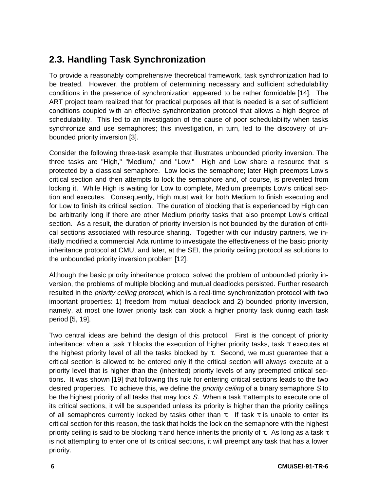#### **2.3. Handling Task Synchronization**

To provide a reasonably comprehensive theoretical framework, task synchronization had to be treated. However, the problem of determining necessary and sufficient schedulability conditions in the presence of synchronization appeared to be rather formidable [14]. The ART project team realized that for practical purposes all that is needed is a set of sufficient conditions coupled with an effective synchronization protocol that allows a high degree of schedulability. This led to an investigation of the cause of poor schedulability when tasks synchronize and use semaphores; this investigation, in turn, led to the discovery of unbounded priority inversion [3].

Consider the following three-task example that illustrates unbounded priority inversion. The three tasks are "High," "Medium," and "Low." High and Low share a resource that is protected by a classical semaphore. Low locks the semaphore; later High preempts Low's critical section and then attempts to lock the semaphore and, of course, is prevented from locking it. While High is waiting for Low to complete, Medium preempts Low's critical section and executes. Consequently, High must wait for both Medium to finish executing and for Low to finish its critical section. The duration of blocking that is experienced by High can be arbitrarily long if there are other Medium priority tasks that also preempt Low's critical section. As a result, the duration of priority inversion is not bounded by the duration of critical sections associated with resource sharing. Together with our industry partners, we initially modified a commercial Ada runtime to investigate the effectiveness of the basic priority inheritance protocol at CMU, and later, at the SEI, the priority ceiling protocol as solutions to the unbounded priority inversion problem [12].

Although the basic priority inheritance protocol solved the problem of unbounded priority inversion, the problems of multiple blocking and mutual deadlocks persisted. Further research resulted in the *priority ceiling protocol*, which is a real-time synchronization protocol with two important properties: 1) freedom from mutual deadlock and 2) bounded priority inversion, namely, at most one lower priority task can block a higher priority task during each task period [5, 19].

Two central ideas are behind the design of this protocol. First is the concept of priority inheritance: when a task  $\tau$  blocks the execution of higher priority tasks, task  $\tau$  executes at the highest priority level of all the tasks blocked by  $\tau$ . Second, we must quarantee that a critical section is allowed to be entered only if the critical section will always execute at a priority level that is higher than the (inherited) priority levels of any preempted critical sections. It was shown [19] that following this rule for entering critical sections leads to the two desired properties. To achieve this, we define the *priority ceiling* of a binary semaphore S to be the highest priority of all tasks that may lock S. When a task  $\tau$  attempts to execute one of its critical sections, it will be suspended unless its priority is higher than the priority ceilings of all semaphores currently locked by tasks other than  $\tau$ . If task  $\tau$  is unable to enter its critical section for this reason, the task that holds the lock on the semaphore with the highest priority ceiling is said to be blocking  $\tau$  and hence inherits the priority of  $\tau$ . As long as a task  $\tau$ is not attempting to enter one of its critical sections, it will preempt any task that has a lower priority.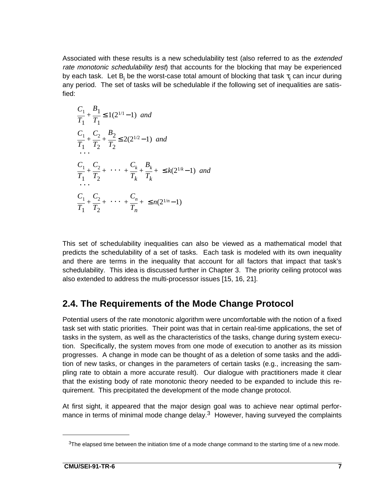Associated with these results is a new schedulability test (also referred to as the extended rate monotonic schedulability test) that accounts for the blocking that may be experienced by each task. Let B<sub>i</sub> be the worst-case total amount of blocking that task  $\tau_i$  can incur during any period. The set of tasks will be schedulable if the following set of inequalities are satisfied:

$$
\frac{C_1}{T_1} + \frac{B_1}{T_1} \le 1(2^{1/1} - 1) \text{ and}
$$
\n
$$
\frac{C_1}{T_1} + \frac{C_2}{T_2} + \frac{B_2}{T_2} \le 2(2^{1/2} - 1) \text{ and}
$$
\n
$$
\frac{C_1}{T_1} + \frac{C_2}{T_2} + \dots + \frac{C_k}{T_k} + \frac{B_k}{T_k} + \le k(2^{1/k} - 1) \text{ and}
$$
\n
$$
\frac{C_1}{T_1} + \frac{C_2}{T_2} + \dots + \frac{C_n}{T_n} + \le n(2^{1/n} - 1)
$$

This set of schedulability inequalities can also be viewed as a mathematical model that predicts the schedulability of a set of tasks. Each task is modeled with its own inequality and there are terms in the inequality that account for all factors that impact that task's schedulability. This idea is discussed further in Chapter 3. The priority ceiling protocol was also extended to address the multi-processor issues [15, 16, 21].

#### **2.4. The Requirements of the Mode Change Protocol**

Potential users of the rate monotonic algorithm were uncomfortable with the notion of a fixed task set with static priorities. Their point was that in certain real-time applications, the set of tasks in the system, as well as the characteristics of the tasks, change during system execution. Specifically, the system moves from one mode of execution to another as its mission progresses. A change in mode can be thought of as a deletion of some tasks and the addition of new tasks, or changes in the parameters of certain tasks (e.g., increasing the sampling rate to obtain a more accurate result). Our dialogue with practitioners made it clear that the existing body of rate monotonic theory needed to be expanded to include this requirement. This precipitated the development of the mode change protocol.

At first sight, it appeared that the major design goal was to achieve near optimal performance in terms of minimal mode change delay. $3$  However, having surveyed the complaints

 $3$ The elapsed time between the initiation time of a mode change command to the starting time of a new mode.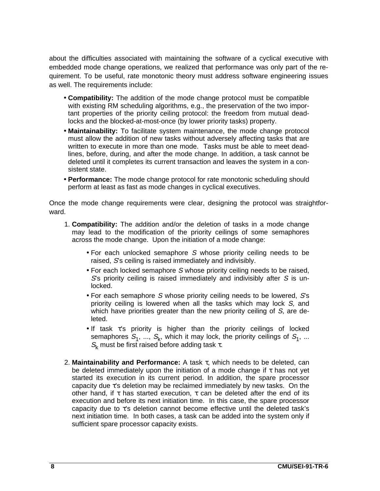about the difficulties associated with maintaining the software of a cyclical executive with embedded mode change operations, we realized that performance was only part of the requirement. To be useful, rate monotonic theory must address software engineering issues as well. The requirements include:

- **Compatibility:** The addition of the mode change protocol must be compatible with existing RM scheduling algorithms, e.g., the preservation of the two important properties of the priority ceiling protocol: the freedom from mutual deadlocks and the blocked-at-most-once (by lower priority tasks) property.
- **Maintainability:** To facilitate system maintenance, the mode change protocol must allow the addition of new tasks without adversely affecting tasks that are written to execute in more than one mode. Tasks must be able to meet deadlines, before, during, and after the mode change. In addition, a task cannot be deleted until it completes its current transaction and leaves the system in a consistent state.
- **Performance:** The mode change protocol for rate monotonic scheduling should perform at least as fast as mode changes in cyclical executives.

Once the mode change requirements were clear, designing the protocol was straightforward.

- 1. **Compatibility:** The addition and/or the deletion of tasks in a mode change may lead to the modification of the priority ceilings of some semaphores across the mode change. Upon the initiation of a mode change:
	- For each unlocked semaphore S whose priority ceiling needs to be raised, S's ceiling is raised immediately and indivisibly.
	- For each locked semaphore S whose priority ceiling needs to be raised,  $S$ 's priority ceiling is raised immediately and indivisibly after  $S$  is unlocked.
	- For each semaphore S whose priority ceiling needs to be lowered, S's priority ceiling is lowered when all the tasks which may lock S, and which have priorities greater than the new priority ceiling of S, are deleted.
	- If task τ's priority is higher than the priority ceilings of locked semaphores  $S_1$ , ...,  $S_k$ , which it may lock, the priority ceilings of  $S_1$ , ...  $S_{\nu}$  must be first raised before adding task τ.
- 2. **Maintainability and Performance:** A task τ, which needs to be deleted, can be deleted immediately upon the initiation of a mode change if τ has not yet started its execution in its current period. In addition, the spare processor capacity due τ's deletion may be reclaimed immediately by new tasks. On the other hand, if  $\tau$  has started execution,  $\tau$  can be deleted after the end of its execution and before its next initiation time. In this case, the spare processor capacity due to τ's deletion cannot become effective until the deleted task's next initiation time. In both cases, a task can be added into the system only if sufficient spare processor capacity exists.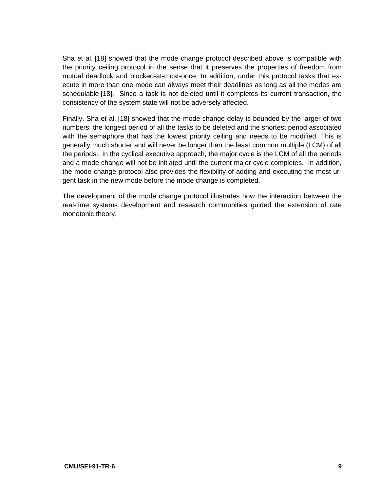Sha et al. [18] showed that the mode change protocol described above is compatible with the priority ceiling protocol in the sense that it preserves the properties of freedom from mutual deadlock and blocked-at-most-once. In addition, under this protocol tasks that execute in more than one mode can always meet their deadlines as long as all the modes are schedulable [18]. Since a task is not deleted until it completes its current transaction, the consistency of the system state will not be adversely affected.

Finally, Sha et al. [18] showed that the mode change delay is bounded by the larger of two numbers: the longest period of all the tasks to be deleted and the shortest period associated with the semaphore that has the lowest priority ceiling and needs to be modified. This is generally much shorter and will never be longer than the least common multiple (LCM) of all the periods. In the cyclical executive approach, the major cycle is the LCM of all the periods and a mode change will not be initiated until the current major cycle completes. In addition, the mode change protocol also provides the flexibility of adding and executing the most urgent task in the new mode before the mode change is completed.

The development of the mode change protocol illustrates how the interaction between the real-time systems development and research communities guided the extension of rate monotonic theory.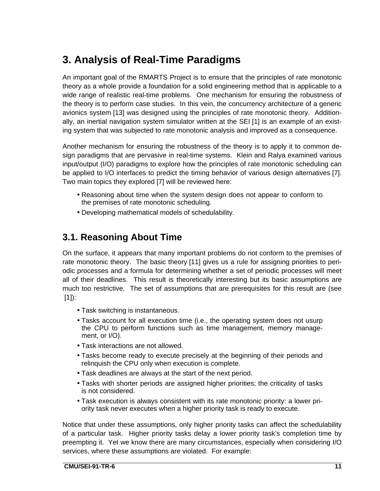### **3. Analysis of Real-Time Paradigms**

An important goal of the RMARTS Project is to ensure that the principles of rate monotonic theory as a whole provide a foundation for a solid engineering method that is applicable to a wide range of realistic real-time problems. One mechanism for ensuring the robustness of the theory is to perform case studies. In this vein, the concurrency architecture of a generic avionics system [13] was designed using the principles of rate monotonic theory. Additionally, an inertial navigation system simulator written at the SEI [1] is an example of an existing system that was subjected to rate monotonic analysis and improved as a consequence.

Another mechanism for ensuring the robustness of the theory is to apply it to common design paradigms that are pervasive in real-time systems. Klein and Ralya examined various input/output (I/O) paradigms to explore how the principles of rate monotonic scheduling can be applied to I/O interfaces to predict the timing behavior of various design alternatives [7]. Two main topics they explored [7] will be reviewed here:

- Reasoning about time when the system design does not appear to conform to the premises of rate monotonic scheduling.
- Developing mathematical models of schedulability.

#### **3.1. Reasoning About Time**

On the surface, it appears that many important problems do not conform to the premises of rate monotonic theory. The basic theory [11] gives us a rule for assigning priorities to periodic processes and a formula for determining whether a set of periodic processes will meet all of their deadlines. This result is theoretically interesting but its basic assumptions are much too restrictive. The set of assumptions that are prerequisites for this result are (see  $[1]$ :

- Task switching is instantaneous.
- Tasks account for all execution time (i.e., the operating system does not usurp the CPU to perform functions such as time management, memory management, or I/O).
- Task interactions are not allowed.
- Tasks become ready to execute precisely at the beginning of their periods and relinquish the CPU only when execution is complete.
- Task deadlines are always at the start of the next period.
- Tasks with shorter periods are assigned higher priorities; the criticality of tasks is not considered.
- Task execution is always consistent with its rate monotonic priority: a lower priority task never executes when a higher priority task is ready to execute.

Notice that under these assumptions, only higher priority tasks can affect the schedulability of a particular task. Higher priority tasks delay a lower priority task's completion time by preempting it. Yet we know there are many circumstances, especially when considering I/O services, where these assumptions are violated. For example: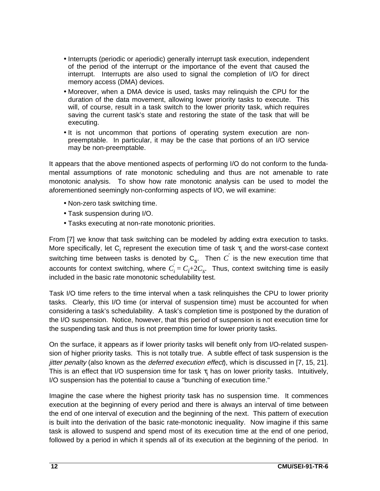- Interrupts (periodic or aperiodic) generally interrupt task execution, independent of the period of the interrupt or the importance of the event that caused the interrupt. Interrupts are also used to signal the completion of I/O for direct memory access (DMA) devices.
- Moreover, when a DMA device is used, tasks may relinquish the CPU for the duration of the data movement, allowing lower priority tasks to execute. This will, of course, result in a task switch to the lower priority task, which requires saving the current task's state and restoring the state of the task that will be executing.
- It is not uncommon that portions of operating system execution are nonpreemptable. In particular, it may be the case that portions of an I/O service may be non-preemptable.

It appears that the above mentioned aspects of performing I/O do not conform to the fundamental assumptions of rate monotonic scheduling and thus are not amenable to rate monotonic analysis. To show how rate monotonic analysis can be used to model the aforementioned seemingly non-conforming aspects of I/O, we will examine:

- Non-zero task switching time.
- Task suspension during I/O.
- Tasks executing at non-rate monotonic priorities.

From [7] we know that task switching can be modeled by adding extra execution to tasks. More specifically, let C<sub>i</sub> represent the execution time of task  $\tau_i$  and the worst-case context switching time between tasks is denoted by C<sub>s</sub>. Then C' is the new execution time that accounts for context switching, whe included in the basic rate monotonic schedulability test.

Task I/O time refers to the time interval when a task relinquishes the CPU to lower priority tasks. Clearly, this I/O time (or interval of suspension time) must be accounted for when considering a task's schedulability. A task's completion time is postponed by the duration of the I/O suspension. Notice, however, that this period of suspension is not execution time for the suspending task and thus is not preemption time for lower priority tasks.

On the surface, it appears as if lower priority tasks will benefit only from I/O-related suspension of higher priority tasks. This is not totally true. A subtle effect of task suspension is the jitter penalty (also known as the deferred execution effect), which is discussed in [7, 15, 21]. This is an effect that I/O suspension time for task  $\tau_i$  has on lower priority tasks. Intuitively, I/O suspension has the potential to cause a "bunching of execution time."

Imagine the case where the highest priority task has no suspension time. It commences execution at the beginning of every period and there is always an interval of time between the end of one interval of execution and the beginning of the next. This pattern of execution is built into the derivation of the basic rate-monotonic inequality. Now imagine if this same task is allowed to suspend and spend most of its execution time at the end of one period, followed by a period in which it spends all of its execution at the beginning of the period. In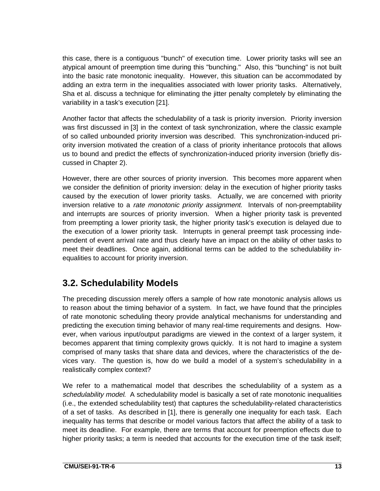this case, there is a contiguous "bunch" of execution time. Lower priority tasks will see an atypical amount of preemption time during this "bunching." Also, this "bunching" is not built into the basic rate monotonic inequality. However, this situation can be accommodated by adding an extra term in the inequalities associated with lower priority tasks. Alternatively, Sha et al. discuss a technique for eliminating the jitter penalty completely by eliminating the variability in a task's execution [21].

Another factor that affects the schedulability of a task is priority inversion. Priority inversion was first discussed in [3] in the context of task synchronization, where the classic example of so called unbounded priority inversion was described. This synchronization-induced priority inversion motivated the creation of a class of priority inheritance protocols that allows us to bound and predict the effects of synchronization-induced priority inversion (briefly discussed in Chapter 2).

However, there are other sources of priority inversion. This becomes more apparent when we consider the definition of priority inversion: delay in the execution of higher priority tasks caused by the execution of lower priority tasks. Actually, we are concerned with priority inversion relative to a rate monotonic priority assignment. Intervals of non-preemptability and interrupts are sources of priority inversion. When a higher priority task is prevented from preempting a lower priority task, the higher priority task's execution is delayed due to the execution of a lower priority task. Interrupts in general preempt task processing independent of event arrival rate and thus clearly have an impact on the ability of other tasks to meet their deadlines. Once again, additional terms can be added to the schedulability inequalities to account for priority inversion.

#### **3.2. Schedulability Models**

The preceding discussion merely offers a sample of how rate monotonic analysis allows us to reason about the timing behavior of a system. In fact, we have found that the principles of rate monotonic scheduling theory provide analytical mechanisms for understanding and predicting the execution timing behavior of many real-time requirements and designs. However, when various input/output paradigms are viewed in the context of a larger system, it becomes apparent that timing complexity grows quickly. It is not hard to imagine a system comprised of many tasks that share data and devices, where the characteristics of the devices vary. The question is, how do we build a model of a system's schedulability in a realistically complex context?

We refer to a mathematical model that describes the schedulability of a system as a schedulability model. A schedulability model is basically a set of rate monotonic inequalities (i.e., the extended schedulability test) that captures the schedulability-related characteristics of a set of tasks. As described in [1], there is generally one inequality for each task. Each inequality has terms that describe or model various factors that affect the ability of a task to meet its deadline. For example, there are terms that account for preemption effects due to higher priority tasks; a term is needed that accounts for the execution time of the task itself;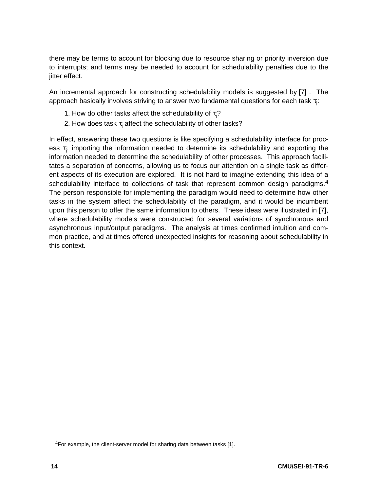there may be terms to account for blocking due to resource sharing or priority inversion due to interrupts; and terms may be needed to account for schedulability penalties due to the jitter effect.

An incremental approach for constructing schedulability models is suggested by [7] . The approach basically involves striving to answer two fundamental questions for each task  $\tau_{\mathfrak{j}}$ :

- 1. How do other tasks affect the schedulability of  $\tau_i$ ?
- 2. How does task  $\tau_i$  affect the schedulability of other tasks?

In effect, answering these two questions is like specifying a schedulability interface for process  $\tau$ : importing the information needed to determine its schedulability and exporting the information needed to determine the schedulability of other processes. This approach facilitates a separation of concerns, allowing us to focus our attention on a single task as different aspects of its execution are explored. It is not hard to imagine extending this idea of a schedulability interface to collections of task that represent common design paradigms.<sup>4</sup> The person responsible for implementing the paradigm would need to determine how other tasks in the system affect the schedulability of the paradigm, and it would be incumbent upon this person to offer the same information to others. These ideas were illustrated in [7], where schedulability models were constructed for several variations of synchronous and asynchronous input/output paradigms. The analysis at times confirmed intuition and common practice, and at times offered unexpected insights for reasoning about schedulability in this context.

<sup>&</sup>lt;sup>4</sup>For example, the client-server model for sharing data between tasks [1].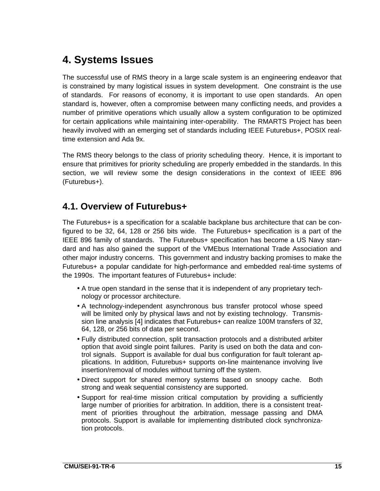## **4. Systems Issues**

The successful use of RMS theory in a large scale system is an engineering endeavor that is constrained by many logistical issues in system development. One constraint is the use of standards. For reasons of economy, it is important to use open standards. An open standard is, however, often a compromise between many conflicting needs, and provides a number of primitive operations which usually allow a system configuration to be optimized for certain applications while maintaining inter-operability. The RMARTS Project has been heavily involved with an emerging set of standards including IEEE Futurebus+, POSIX realtime extension and Ada 9x.

The RMS theory belongs to the class of priority scheduling theory. Hence, it is important to ensure that primitives for priority scheduling are properly embedded in the standards. In this section, we will review some the design considerations in the context of IEEE 896 (Futurebus+).

#### **4.1. Overview of Futurebus+**

The Futurebus+ is a specification for a scalable backplane bus architecture that can be configured to be 32, 64, 128 or 256 bits wide. The Futurebus+ specification is a part of the IEEE 896 family of standards. The Futurebus+ specification has become a US Navy standard and has also gained the support of the VMEbus International Trade Association and other major industry concerns. This government and industry backing promises to make the Futurebus+ a popular candidate for high-performance and embedded real-time systems of the 1990s. The important features of Futurebus+ include:

- A true open standard in the sense that it is independent of any proprietary technology or processor architecture.
- A technology-independent asynchronous bus transfer protocol whose speed will be limited only by physical laws and not by existing technology. Transmission line analysis [4] indicates that Futurebus+ can realize 100M transfers of 32, 64, 128, or 256 bits of data per second.
- Fully distributed connection, split transaction protocols and a distributed arbiter option that avoid single point failures. Parity is used on both the data and control signals. Support is available for dual bus configuration for fault tolerant applications. In addition, Futurebus+ supports on-line maintenance involving live insertion/removal of modules without turning off the system.
- Direct support for shared memory systems based on snoopy cache. Both strong and weak sequential consistency are supported.
- Support for real-time mission critical computation by providing a sufficiently large number of priorities for arbitration. In addition, there is a consistent treatment of priorities throughout the arbitration, message passing and DMA protocols. Support is available for implementing distributed clock synchronization protocols.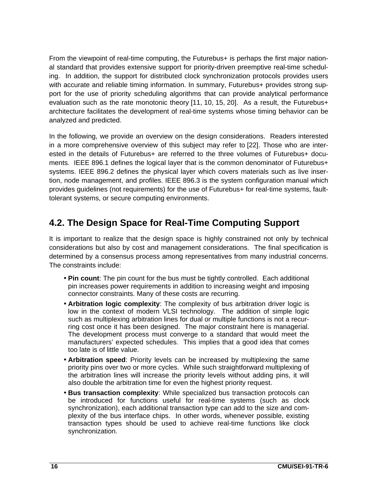From the viewpoint of real-time computing, the Futurebus+ is perhaps the first major national standard that provides extensive support for priority-driven preemptive real-time scheduling. In addition, the support for distributed clock synchronization protocols provides users with accurate and reliable timing information. In summary, Futurebus+ provides strong support for the use of priority scheduling algorithms that can provide analytical performance evaluation such as the rate monotonic theory [11, 10, 15, 20]. As a result, the Futurebus+ architecture facilitates the development of real-time systems whose timing behavior can be analyzed and predicted.

In the following, we provide an overview on the design considerations. Readers interested in a more comprehensive overview of this subject may refer to [22]. Those who are interested in the details of Futurebus+ are referred to the three volumes of Futurebus+ documents. IEEE 896.1 defines the logical layer that is the common denominator of Futurebus+ systems. IEEE 896.2 defines the physical layer which covers materials such as live insertion, node management, and profiles. IEEE 896.3 is the system configuration manual which provides guidelines (not requirements) for the use of Futurebus+ for real-time systems, faulttolerant systems, or secure computing environments.

#### **4.2. The Design Space for Real-Time Computing Support**

It is important to realize that the design space is highly constrained not only by technical considerations but also by cost and management considerations. The final specification is determined by a consensus process among representatives from many industrial concerns. The constraints include:

- **Pin count**: The pin count for the bus must be tightly controlled. Each additional pin increases power requirements in addition to increasing weight and imposing connector constraints. Many of these costs are recurring.
- **Arbitration logic complexity**: The complexity of bus arbitration driver logic is low in the context of modern VLSI technology. The addition of simple logic such as multiplexing arbitration lines for dual or multiple functions is not a recurring cost once it has been designed. The major constraint here is managerial. The development process must converge to a standard that would meet the manufacturers' expected schedules. This implies that a good idea that comes too late is of little value.
- **Arbitration speed**: Priority levels can be increased by multiplexing the same priority pins over two or more cycles. While such straightforward multiplexing of the arbitration lines will increase the priority levels without adding pins, it will also double the arbitration time for even the highest priority request.
- **Bus transaction complexity**: While specialized bus transaction protocols can be introduced for functions useful for real-time systems (such as clock synchronization), each additional transaction type can add to the size and complexity of the bus interface chips. In other words, whenever possible, existing transaction types should be used to achieve real-time functions like clock synchronization.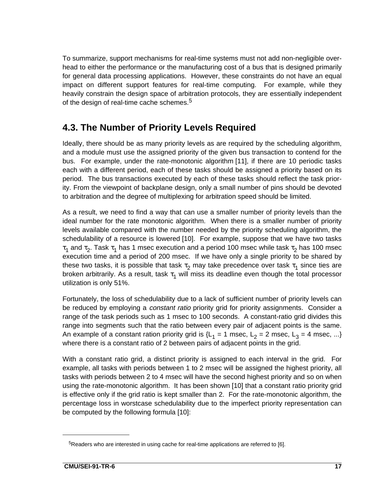To summarize, support mechanisms for real-time systems must not add non-negligible overhead to either the performance or the manufacturing cost of a bus that is designed primarily for general data processing applications. However, these constraints do not have an equal impact on different support features for real-time computing. For example, while they heavily constrain the design space of arbitration protocols, they are essentially independent of the design of real-time cache schemes.<sup>5</sup>

#### **4.3. The Number of Priority Levels Required**

Ideally, there should be as many priority levels as are required by the scheduling algorithm, and a module must use the assigned priority of the given bus transaction to contend for the bus. For example, under the rate-monotonic algorithm [11], if there are 10 periodic tasks each with a different period, each of these tasks should be assigned a priority based on its period. The bus transactions executed by each of these tasks should reflect the task priority. From the viewpoint of backplane design, only a small number of pins should be devoted to arbitration and the degree of multiplexing for arbitration speed should be limited.

As a result, we need to find a way that can use a smaller number of priority levels than the ideal number for the rate monotonic algorithm. When there is a smaller number of priority levels available compared with the number needed by the priority scheduling algorithm, the schedulability of a resource is lowered [10]. For example, suppose that we have two tasks  $\tau_1$  and  $\tau_2$ . Task  $\tau_1$  has 1 msec execution and a period 100 msec while task  $\tau_2$  has 100 msec execution time and a period of 200 msec. If we have only a single priority to be shared by these two tasks, it is possible that task  $\tau_2$  may take precedence over task  $\tau_1$  since ties are broken arbitrarily. As a result, task  $\tau_1$  will miss its deadline even though the total processor utilization is only 51%.

Fortunately, the loss of schedulability due to a lack of sufficient number of priority levels can be reduced by employing a *constant ratio* priority grid for priority assignments. Consider a range of the task periods such as 1 msec to 100 seconds. A constant-ratio grid divides this range into segments such that the ratio between every pair of adjacent points is the same. An example of a constant ration priority grid is  ${L_1 = 1 \text{ msec}, L_2 = 2 \text{ msec}, L_3 = 4 \text{ msec}, ...}$ where there is a constant ratio of 2 between pairs of adjacent points in the grid.

With a constant ratio grid, a distinct priority is assigned to each interval in the grid. For example, all tasks with periods between 1 to 2 msec will be assigned the highest priority, all tasks with periods between 2 to 4 msec will have the second highest priority and so on when using the rate-monotonic algorithm. It has been shown [10] that a constant ratio priority grid is effective only if the grid ratio is kept smaller than 2. For the rate-monotonic algorithm, the percentage loss in worstcase schedulability due to the imperfect priority representation can be computed by the following formula [10]:

<sup>&</sup>lt;sup>5</sup>Readers who are interested in using cache for real-time applications are referred to [6].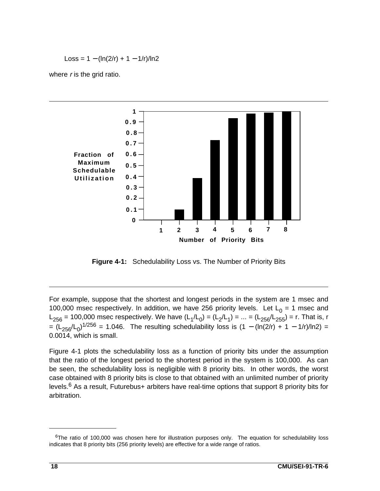Loss =  $1 - (\ln(2/r) + 1 - \frac{1}{r})/\ln 2$ 

where  $r$  is the grid ratio.



**Figure 4-1:** Schedulability Loss vs. The Number of Priority Bits

For example, suppose that the shortest and longest periods in the system are 1 msec and 100,000 msec respectively. In addition, we have 256 priority levels. Let  $L_0 = 1$  msec and  $L_{256}$  = 100,000 msec respectively. We have  $(L_1/L_0) = (L_2/L_1) = ... = (L_{256}/L_{255}) = r$ . That is, r  $= (L_{256}/L_0)^{1/256} = 1.046$ . The resulting schedulability loss is  $(1 - (\ln(2/r) + 1 - 1/r)/\ln(2)) =$ 0.0014, which is small.

Figure 4-1 plots the schedulability loss as a function of priority bits under the assumption that the ratio of the longest period to the shortest period in the system is 100,000. As can be seen, the schedulability loss is negligible with 8 priority bits. In other words, the worst case obtained with 8 priority bits is close to that obtained with an unlimited number of priority levels.<sup>6</sup> As a result, Futurebus+ arbiters have real-time options that support 8 priority bits for arbitration.

 $6$ The ratio of 100,000 was chosen here for illustration purposes only. The equation for schedulability loss indicates that 8 priority bits (256 priority levels) are effective for a wide range of ratios.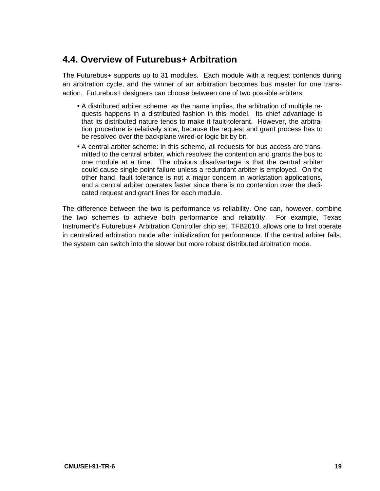#### **4.4. Overview of Futurebus+ Arbitration**

The Futurebus+ supports up to 31 modules. Each module with a request contends during an arbitration cycle, and the winner of an arbitration becomes bus master for one transaction. Futurebus+ designers can choose between one of two possible arbiters:

- A distributed arbiter scheme: as the name implies, the arbitration of multiple requests happens in a distributed fashion in this model. Its chief advantage is that its distributed nature tends to make it fault-tolerant. However, the arbitration procedure is relatively slow, because the request and grant process has to be resolved over the backplane wired-or logic bit by bit.
- A central arbiter scheme: in this scheme, all requests for bus access are transmitted to the central arbiter, which resolves the contention and grants the bus to one module at a time. The obvious disadvantage is that the central arbiter could cause single point failure unless a redundant arbiter is employed. On the other hand, fault tolerance is not a major concern in workstation applications, and a central arbiter operates faster since there is no contention over the dedicated request and grant lines for each module.

The difference between the two is performance vs reliability. One can, however, combine the two schemes to achieve both performance and reliability. For example, Texas Instrument's Futurebus+ Arbitration Controller chip set, TFB2010, allows one to first operate in centralized arbitration mode after initialization for performance. If the central arbiter fails, the system can switch into the slower but more robust distributed arbitration mode.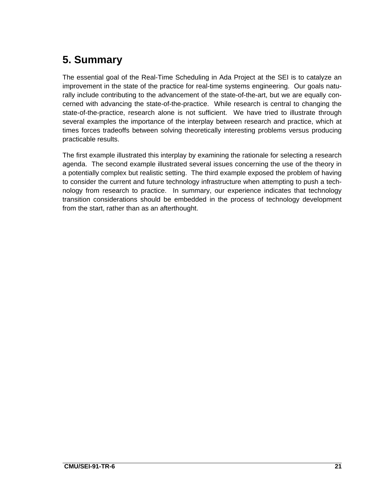## **5. Summary**

The essential goal of the Real-Time Scheduling in Ada Project at the SEI is to catalyze an improvement in the state of the practice for real-time systems engineering. Our goals naturally include contributing to the advancement of the state-of-the-art, but we are equally concerned with advancing the state-of-the-practice. While research is central to changing the state-of-the-practice, research alone is not sufficient. We have tried to illustrate through several examples the importance of the interplay between research and practice, which at times forces tradeoffs between solving theoretically interesting problems versus producing practicable results.

The first example illustrated this interplay by examining the rationale for selecting a research agenda. The second example illustrated several issues concerning the use of the theory in a potentially complex but realistic setting. The third example exposed the problem of having to consider the current and future technology infrastructure when attempting to push a technology from research to practice. In summary, our experience indicates that technology transition considerations should be embedded in the process of technology development from the start, rather than as an afterthought.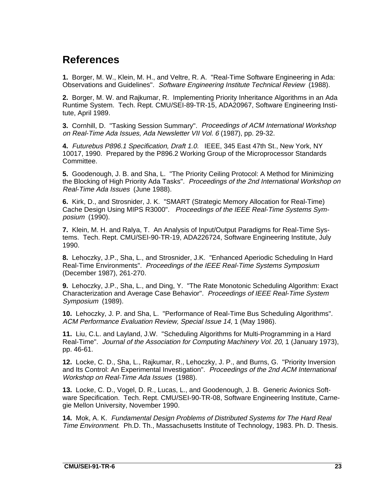### **References**

**1.** Borger, M. W., Klein, M. H., and Veltre, R. A. "Real-Time Software Engineering in Ada: Observations and Guidelines". Software Engineering Institute Technical Review (1988).

**2.** Borger, M. W. and Rajkumar, R. Implementing Priority Inheritance Algorithms in an Ada Runtime System. Tech. Rept. CMU/SEI-89-TR-15, ADA20967, Software Engineering Institute, April 1989.

**3.** Cornhill, D. "Tasking Session Summary". Proceedings of ACM International Workshop on Real-Time Ada Issues, Ada Newsletter VII Vol. 6 (1987), pp. 29-32.

**4.** Futurebus P896.1 Specification, Draft 1.0. IEEE, 345 East 47th St., New York, NY 10017, 1990. Prepared by the P896.2 Working Group of the Microprocessor Standards Committee.

**5.** Goodenough, J. B. and Sha, L. "The Priority Ceiling Protocol: A Method for Minimizing the Blocking of High Priority Ada Tasks". Proceedings of the 2nd International Workshop on Real-Time Ada Issues (June 1988).

**6.** Kirk, D., and Strosnider, J. K. "SMART (Strategic Memory Allocation for Real-Time) Cache Design Using MIPS R3000". Proceedings of the IEEE Real-Time Systems Symposium (1990).

**7.** Klein, M. H. and Ralya, T. An Analysis of Input/Output Paradigms for Real-Time Systems. Tech. Rept. CMU/SEI-90-TR-19, ADA226724, Software Engineering Institute, July 1990.

**8.** Lehoczky, J.P., Sha, L., and Strosnider, J.K. "Enhanced Aperiodic Scheduling In Hard Real-Time Environments". Proceedings of the IEEE Real-Time Systems Symposium (December 1987), 261-270.

**9.** Lehoczky, J.P., Sha, L., and Ding, Y. "The Rate Monotonic Scheduling Algorithm: Exact Characterization and Average Case Behavior". Proceedings of IEEE Real-Time System Symposium (1989).

**10.** Lehoczky, J. P. and Sha, L. "Performance of Real-Time Bus Scheduling Algorithms". ACM Performance Evaluation Review, Special Issue 14, 1 (May 1986).

**11.** Liu, C.L. and Layland, J.W. "Scheduling Algorithms for Multi-Programming in a Hard Real-Time". Journal of the Association for Computing Machinery Vol. 20, 1 (January 1973), pp. 46-61.

**12.** Locke, C. D., Sha, L., Rajkumar, R., Lehoczky, J. P., and Burns, G. "Priority Inversion and Its Control: An Experimental Investigation". Proceedings of the 2nd ACM International Workshop on Real-Time Ada Issues (1988).

**13.** Locke, C. D., Vogel, D. R., Lucas, L., and Goodenough, J. B. Generic Avionics Software Specification. Tech. Rept. CMU/SEI-90-TR-08, Software Engineering Institute, Carnegie Mellon University, November 1990.

**14.** Mok, A. K. Fundamental Design Problems of Distributed Systems for The Hard Real Time Environment. Ph.D. Th., Massachusetts Institute of Technology, 1983. Ph. D. Thesis.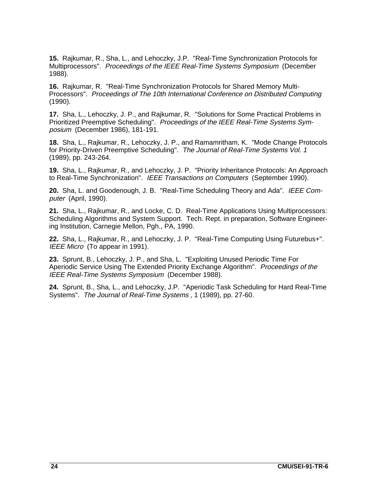**15.** Rajkumar, R., Sha, L., and Lehoczky, J.P. "Real-Time Synchronization Protocols for Multiprocessors". Proceedings of the IEEE Real-Time Systems Symposium (December 1988).

**16.** Rajkumar, R. "Real-Time Synchronization Protocols for Shared Memory Multi-Processors". Proceedings of The 10th International Conference on Distributed Computing (1990).

**17.** Sha, L., Lehoczky, J. P., and Rajkumar, R. "Solutions for Some Practical Problems in Prioritized Preemptive Scheduling". Proceedings of the IEEE Real-Time Systems Symposium (December 1986), 181-191.

**18.** Sha, L., Rajkumar, R., Lehoczky, J. P., and Ramamritham, K. "Mode Change Protocols for Priority-Driven Preemptive Scheduling". The Journal of Real-Time Systems Vol. 1 (1989), pp. 243-264.

**19.** Sha, L., Rajkumar, R., and Lehoczky, J. P. "Priority Inheritance Protocols: An Approach to Real-Time Synchronization". IEEE Transactions on Computers (September 1990).

**20.** Sha, L. and Goodenough, J. B. "Real-Time Scheduling Theory and Ada". IEEE Computer (April, 1990).

**21.** Sha, L., Rajkumar, R., and Locke, C. D. Real-Time Applications Using Multiprocessors: Scheduling Algorithms and System Support. Tech. Rept. in preparation, Software Engineering Institution, Carnegie Mellon, Pgh., PA, 1990.

**22.** Sha, L., Rajkumar, R., and Lehoczky, J. P. "Real-Time Computing Using Futurebus+". IEEE Micro (To appear in 1991).

**23.** Sprunt, B., Lehoczky, J. P., and Sha, L. "Exploiting Unused Periodic Time For Aperiodic Service Using The Extended Priority Exchange Algorithm". Proceedings of the IEEE Real-Time Systems Symposium (December 1988).

**24.** Sprunt, B., Sha, L., and Lehoczky, J.P. "Aperiodic Task Scheduling for Hard Real-Time Systems". The Journal of Real-Time Systems , 1 (1989), pp. 27-60.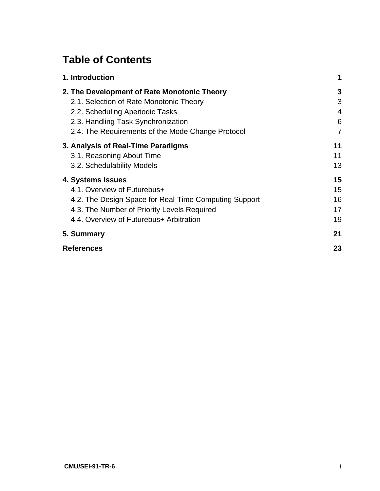## **Table of Contents**

| 1. Introduction                                       | 1              |
|-------------------------------------------------------|----------------|
| 2. The Development of Rate Monotonic Theory           | 3              |
| 2.1. Selection of Rate Monotonic Theory               | 3              |
| 2.2. Scheduling Aperiodic Tasks                       | $\overline{4}$ |
| 2.3. Handling Task Synchronization                    | 6              |
| 2.4. The Requirements of the Mode Change Protocol     | 7              |
| 3. Analysis of Real-Time Paradigms                    | 11             |
| 3.1. Reasoning About Time                             | 11             |
| 3.2. Schedulability Models                            | 13             |
| 4. Systems Issues                                     | 15             |
| 4.1. Overview of Futurebus+                           | 15             |
| 4.2. The Design Space for Real-Time Computing Support | 16             |
| 4.3. The Number of Priority Levels Required           | 17             |
| 4.4. Overview of Futurebus+ Arbitration               | 19             |
| 5. Summary                                            | 21             |
| <b>References</b>                                     | 23             |